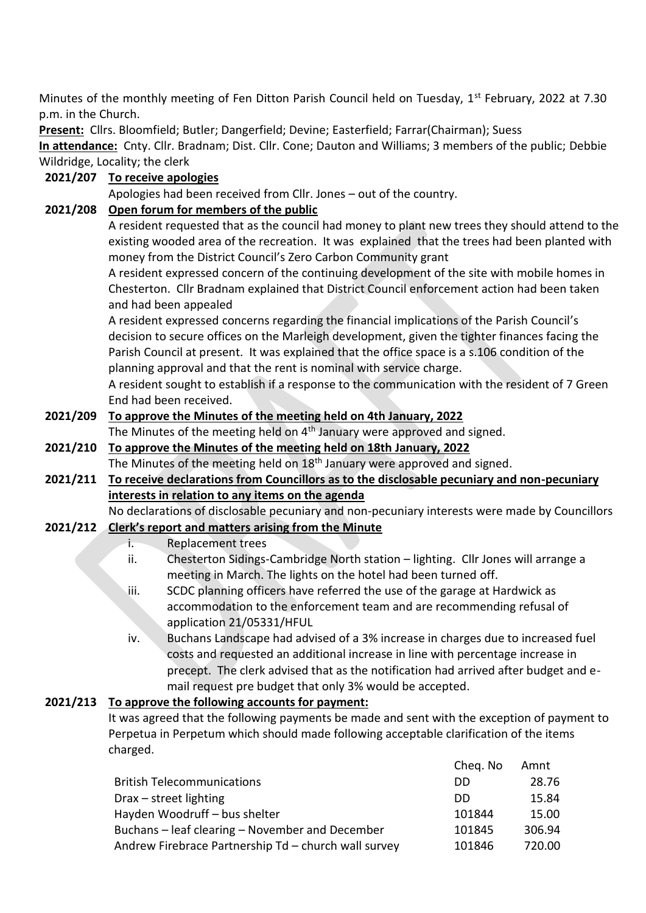Minutes of the monthly meeting of Fen Ditton Parish Council held on Tuesday, 1<sup>st</sup> February, 2022 at 7.30 p.m. in the Church.

**Present:** Cllrs. Bloomfield; Butler; Dangerfield; Devine; Easterfield; Farrar(Chairman); Suess

**In attendance:** Cnty. Cllr. Bradnam; Dist. Cllr. Cone; Dauton and Williams; 3 members of the public; Debbie Wildridge, Locality; the clerk

## **2021/207 To receive apologies**

Apologies had been received from Cllr. Jones – out of the country.

## **2021/208 Open forum for members of the public**

A resident requested that as the council had money to plant new trees they should attend to the existing wooded area of the recreation. It was explained that the trees had been planted with money from the District Council's Zero Carbon Community grant

A resident expressed concern of the continuing development of the site with mobile homes in Chesterton. Cllr Bradnam explained that District Council enforcement action had been taken and had been appealed

A resident expressed concerns regarding the financial implications of the Parish Council's decision to secure offices on the Marleigh development, given the tighter finances facing the Parish Council at present. It was explained that the office space is a s.106 condition of the planning approval and that the rent is nominal with service charge.

A resident sought to establish if a response to the communication with the resident of 7 Green End had been received.

# **2021/209 To approve the Minutes of the meeting held on 4th January, 2022**

The Minutes of the meeting held on 4<sup>th</sup> January were approved and signed.

#### **2021/210 To approve the Minutes of the meeting held on 18th January, 2022** The Minutes of the meeting held on 18<sup>th</sup> January were approved and signed.

**2021/211 To receive declarations from Councillors as to the disclosable pecuniary and non-pecuniary interests in relation to any items on the agenda**

No declarations of disclosable pecuniary and non-pecuniary interests were made by Councillors

### **2021/212 Clerk's report and matters arising from the Minute**

- i. Replacement trees
- ii. Chesterton Sidings-Cambridge North station lighting. Cllr Jones will arrange a meeting in March. The lights on the hotel had been turned off.
- iii. SCDC planning officers have referred the use of the garage at Hardwick as accommodation to the enforcement team and are recommending refusal of application 21/05331/HFUL
- iv. Buchans Landscape had advised of a 3% increase in charges due to increased fuel costs and requested an additional increase in line with percentage increase in precept. The clerk advised that as the notification had arrived after budget and email request pre budget that only 3% would be accepted.

### **2021/213 To approve the following accounts for payment:**

It was agreed that the following payments be made and sent with the exception of payment to Perpetua in Perpetum which should made following acceptable clarification of the items charged.

|                                                      |        | 28.76  |
|------------------------------------------------------|--------|--------|
| <b>British Telecommunications</b><br>DD.             |        |        |
| Drax – street lighting<br>DD.                        |        | 15.84  |
| Hayden Woodruff - bus shelter                        | 101844 | 15.00  |
| Buchans – leaf clearing – November and December      | 101845 | 306.94 |
| Andrew Firebrace Partnership Td – church wall survey | 101846 | 720.00 |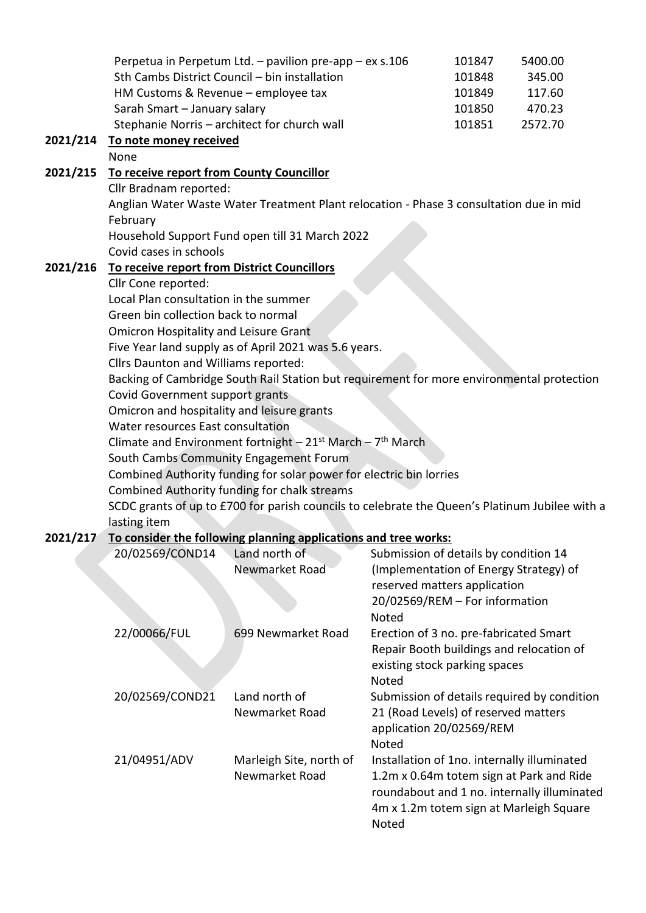|          |                                                                                                                                                                                                                    | Perpetua in Perpetum Ltd. - pavilion pre-app - ex s.106         |                                        | 101847                                                      | 5400.00 |  |  |
|----------|--------------------------------------------------------------------------------------------------------------------------------------------------------------------------------------------------------------------|-----------------------------------------------------------------|----------------------------------------|-------------------------------------------------------------|---------|--|--|
|          |                                                                                                                                                                                                                    | Sth Cambs District Council - bin installation                   |                                        | 101848                                                      | 345.00  |  |  |
|          | HM Customs & Revenue - employee tax                                                                                                                                                                                |                                                                 |                                        | 101849                                                      | 117.60  |  |  |
|          | Sarah Smart - January salary                                                                                                                                                                                       |                                                                 |                                        | 101850                                                      | 470.23  |  |  |
|          |                                                                                                                                                                                                                    | Stephanie Norris - architect for church wall                    |                                        | 101851                                                      | 2572.70 |  |  |
| 2021/214 | To note money received                                                                                                                                                                                             |                                                                 |                                        |                                                             |         |  |  |
|          | None                                                                                                                                                                                                               |                                                                 |                                        |                                                             |         |  |  |
| 2021/215 | To receive report from County Councillor<br>Cllr Bradnam reported:                                                                                                                                                 |                                                                 |                                        |                                                             |         |  |  |
|          |                                                                                                                                                                                                                    |                                                                 |                                        |                                                             |         |  |  |
|          | Anglian Water Waste Water Treatment Plant relocation - Phase 3 consultation due in mid<br>February<br>Household Support Fund open till 31 March 2022                                                               |                                                                 |                                        |                                                             |         |  |  |
|          |                                                                                                                                                                                                                    |                                                                 |                                        |                                                             |         |  |  |
|          |                                                                                                                                                                                                                    |                                                                 |                                        |                                                             |         |  |  |
|          | Covid cases in schools                                                                                                                                                                                             |                                                                 |                                        |                                                             |         |  |  |
| 2021/216 | To receive report from District Councillors                                                                                                                                                                        |                                                                 |                                        |                                                             |         |  |  |
|          | Cllr Cone reported:                                                                                                                                                                                                |                                                                 |                                        |                                                             |         |  |  |
|          | Local Plan consultation in the summer<br>Green bin collection back to normal<br><b>Omicron Hospitality and Leisure Grant</b><br>Five Year land supply as of April 2021 was 5.6 years.                              |                                                                 |                                        |                                                             |         |  |  |
|          |                                                                                                                                                                                                                    |                                                                 |                                        |                                                             |         |  |  |
|          |                                                                                                                                                                                                                    |                                                                 |                                        |                                                             |         |  |  |
|          |                                                                                                                                                                                                                    |                                                                 |                                        |                                                             |         |  |  |
|          | Cllrs Daunton and Williams reported:<br>Backing of Cambridge South Rail Station but requirement for more environmental protection<br>Covid Government support grants<br>Omicron and hospitality and leisure grants |                                                                 |                                        |                                                             |         |  |  |
|          |                                                                                                                                                                                                                    |                                                                 |                                        |                                                             |         |  |  |
|          |                                                                                                                                                                                                                    |                                                                 |                                        |                                                             |         |  |  |
|          |                                                                                                                                                                                                                    |                                                                 |                                        |                                                             |         |  |  |
|          | Water resources East consultation<br>Climate and Environment fortnight - $21^{st}$ March - $7^{th}$ March                                                                                                          |                                                                 |                                        |                                                             |         |  |  |
|          |                                                                                                                                                                                                                    |                                                                 |                                        |                                                             |         |  |  |
|          | South Cambs Community Engagement Forum                                                                                                                                                                             |                                                                 |                                        |                                                             |         |  |  |
|          | Combined Authority funding for solar power for electric bin lorries                                                                                                                                                |                                                                 |                                        |                                                             |         |  |  |
|          | Combined Authority funding for chalk streams                                                                                                                                                                       |                                                                 |                                        |                                                             |         |  |  |
|          | SCDC grants of up to £700 for parish councils to celebrate the Queen's Platinum Jubilee with a                                                                                                                     |                                                                 |                                        |                                                             |         |  |  |
|          | lasting item                                                                                                                                                                                                       |                                                                 |                                        |                                                             |         |  |  |
| 2021/217 |                                                                                                                                                                                                                    | To consider the following planning applications and tree works: |                                        |                                                             |         |  |  |
|          | 20/02569/COND14                                                                                                                                                                                                    | Land north of                                                   | Submission of details by condition 14  |                                                             |         |  |  |
|          |                                                                                                                                                                                                                    | Newmarket Road                                                  | (Implementation of Energy Strategy) of | the constitution of the constitution of the constitution of |         |  |  |
|          |                                                                                                                                                                                                                    |                                                                 |                                        |                                                             |         |  |  |

|                 |                                           | reserved matters application<br>20/02569/REM - For information<br><b>Noted</b>                                                                                                             |
|-----------------|-------------------------------------------|--------------------------------------------------------------------------------------------------------------------------------------------------------------------------------------------|
| 22/00066/FUL    | 699 Newmarket Road                        | Erection of 3 no. pre-fabricated Smart<br>Repair Booth buildings and relocation of<br>existing stock parking spaces<br><b>Noted</b>                                                        |
| 20/02569/COND21 | Land north of<br>Newmarket Road           | Submission of details required by condition<br>21 (Road Levels) of reserved matters<br>application 20/02569/REM<br>Noted                                                                   |
| 21/04951/ADV    | Marleigh Site, north of<br>Newmarket Road | Installation of 1no. internally illuminated<br>1.2m x 0.64m totem sign at Park and Ride<br>roundabout and 1 no. internally illuminated<br>4m x 1.2m totem sign at Marleigh Square<br>Noted |